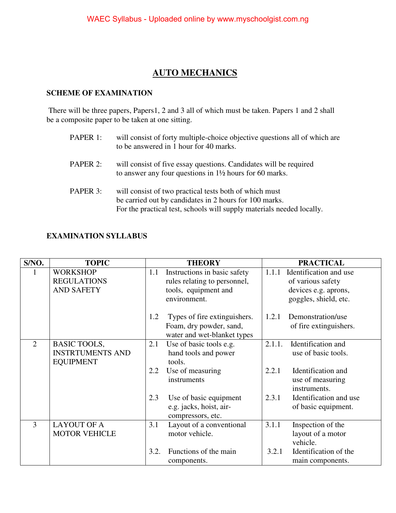### **AUTO MECHANICS**

#### **SCHEME OF EXAMINATION**

 There will be three papers, Papers1, 2 and 3 all of which must be taken. Papers 1 and 2 shall be a composite paper to be taken at one sitting.

| PAPER 1: | will consist of forty multiple-choice objective questions all of which are<br>to be answered in 1 hour for 40 marks.                                                                      |
|----------|-------------------------------------------------------------------------------------------------------------------------------------------------------------------------------------------|
| PAPER 2: | will consist of five essay questions. Candidates will be required<br>to answer any four questions in $1\frac{1}{2}$ hours for 60 marks.                                                   |
| PAPER 3: | will consist of two practical tests both of which must<br>be carried out by candidates in 2 hours for 100 marks.<br>For the practical test, schools will supply materials needed locally. |

#### **EXAMINATION SYLLABUS**

| S/NO.          | <b>TOPIC</b>            |      | <b>THEORY</b>                                          |        | <b>PRACTICAL</b>       |
|----------------|-------------------------|------|--------------------------------------------------------|--------|------------------------|
|                | <b>WORKSHOP</b>         | 1.1  | Instructions in basic safety                           | 1.1.1  | Identification and use |
|                | <b>REGULATIONS</b>      |      | rules relating to personnel,                           |        | of various safety      |
|                | <b>AND SAFETY</b>       |      | tools, equipment and                                   |        | devices e.g. aprons,   |
|                |                         |      | environment.                                           |        | goggles, shield, etc.  |
|                |                         | 1.2  | Types of fire extinguishers.                           | 1.2.1  | Demonstration/use      |
|                |                         |      | Foam, dry powder, sand,<br>water and wet-blanket types |        | of fire extinguishers. |
| $\overline{2}$ | <b>BASIC TOOLS,</b>     | 2.1  | Use of basic tools e.g.                                | 2.1.1. | Identification and     |
|                | <b>INSTRTUMENTS AND</b> |      | hand tools and power                                   |        | use of basic tools.    |
|                | <b>EQUIPMENT</b>        |      | tools.                                                 |        |                        |
|                |                         | 2.2  | Use of measuring                                       | 2.2.1  | Identification and     |
|                |                         |      | instruments                                            |        | use of measuring       |
|                |                         |      |                                                        |        | instruments.           |
|                |                         | 2.3  | Use of basic equipment                                 | 2.3.1  | Identification and use |
|                |                         |      | e.g. jacks, hoist, air-                                |        | of basic equipment.    |
|                |                         |      | compressors, etc.                                      |        |                        |
| 3              | <b>LAYOUT OF A</b>      | 3.1  | Layout of a conventional                               | 3.1.1  | Inspection of the      |
|                | <b>MOTOR VEHICLE</b>    |      | motor vehicle.                                         |        | layout of a motor      |
|                |                         |      |                                                        |        | vehicle.               |
|                |                         | 3.2. | Functions of the main                                  | 3.2.1  | Identification of the  |
|                |                         |      | components.                                            |        | main components.       |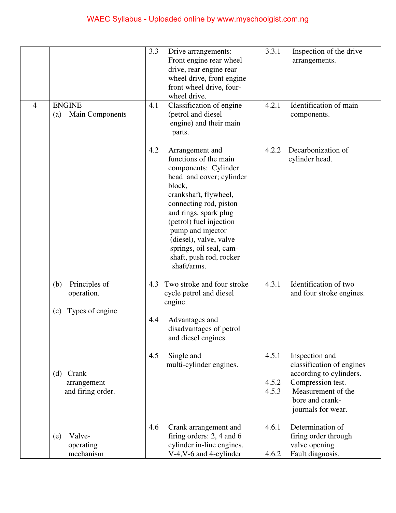# WAEC Syllabus - Uploaded online by www.myschoolgist.com.ng

| $\overline{4}$ | <b>ENGINE</b><br><b>Main Components</b><br>(a)               | 3.3<br>Drive arrangements:<br>Front engine rear wheel<br>drive, rear engine rear<br>wheel drive, front engine<br>front wheel drive, four-<br>wheel drive.<br>Classification of engine<br>4.1<br>(petrol and diesel<br>engine) and their main<br>parts.                                                                                   | 3.3.1<br>Inspection of the drive<br>arrangements.<br>Identification of main<br>4.2.1<br>components.                                                                                   |
|----------------|--------------------------------------------------------------|------------------------------------------------------------------------------------------------------------------------------------------------------------------------------------------------------------------------------------------------------------------------------------------------------------------------------------------|---------------------------------------------------------------------------------------------------------------------------------------------------------------------------------------|
|                |                                                              | 4.2<br>Arrangement and<br>functions of the main<br>components: Cylinder<br>head and cover; cylinder<br>block,<br>crankshaft, flywheel,<br>connecting rod, piston<br>and rings, spark plug<br>(petrol) fuel injection<br>pump and injector<br>(diesel), valve, valve<br>springs, oil seal, cam-<br>shaft, push rod, rocker<br>shaft/arms. | Decarbonization of<br>4.2.2<br>cylinder head.                                                                                                                                         |
|                | Principles of<br>(b)<br>operation.<br>Types of engine<br>(c) | Two stroke and four stroke<br>4.3<br>cycle petrol and diesel<br>engine.<br>4.4<br>Advantages and<br>disadvantages of petrol<br>and diesel engines.                                                                                                                                                                                       | Identification of two<br>4.3.1<br>and four stroke engines.                                                                                                                            |
|                | (d) Crank<br>arrangement<br>and firing order.                | 4.5<br>Single and<br>multi-cylinder engines.                                                                                                                                                                                                                                                                                             | 4.5.1<br>Inspection and<br>classification of engines<br>according to cylinders.<br>Compression test.<br>4.5.2<br>Measurement of the<br>4.5.3<br>bore and crank-<br>journals for wear. |
|                | Valve-<br>(e)<br>operating<br>mechanism                      | 4.6<br>Crank arrangement and<br>firing orders: $2, 4$ and 6<br>cylinder in-line engines.<br>V-4, V-6 and 4-cylinder                                                                                                                                                                                                                      | Determination of<br>4.6.1<br>firing order through<br>valve opening.<br>Fault diagnosis.<br>4.6.2                                                                                      |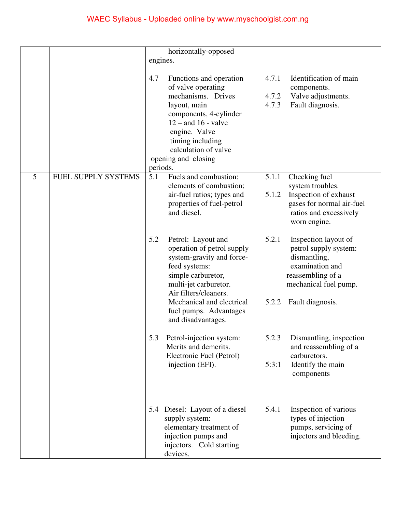|                |                            | horizontally-opposed                                                                                                                                                                                                                          |                                                                                                                                         |
|----------------|----------------------------|-----------------------------------------------------------------------------------------------------------------------------------------------------------------------------------------------------------------------------------------------|-----------------------------------------------------------------------------------------------------------------------------------------|
|                |                            | engines.                                                                                                                                                                                                                                      |                                                                                                                                         |
|                |                            |                                                                                                                                                                                                                                               |                                                                                                                                         |
|                |                            | 4.7<br>Functions and operation<br>of valve operating<br>mechanisms. Drives<br>layout, main<br>components, 4-cylinder<br>$12$ – and 16 - valve<br>engine. Valve<br>timing including<br>calculation of valve<br>opening and closing<br>periods. | 4.7.1<br>Identification of main<br>components.<br>4.7.2<br>Valve adjustments.<br>4.7.3<br>Fault diagnosis.                              |
| $\overline{5}$ | <b>FUEL SUPPLY SYSTEMS</b> | Fuels and combustion:<br>5.1                                                                                                                                                                                                                  | 5.1.1<br>Checking fuel                                                                                                                  |
|                |                            | elements of combustion;<br>air-fuel ratios; types and                                                                                                                                                                                         | system troubles.<br>5.1.2<br>Inspection of exhaust                                                                                      |
|                |                            | properties of fuel-petrol<br>and diesel.                                                                                                                                                                                                      | gases for normal air-fuel<br>ratios and excessively<br>worn engine.                                                                     |
|                |                            | 5.2<br>Petrol: Layout and<br>operation of petrol supply<br>system-gravity and force-<br>feed systems:<br>simple carburetor,<br>multi-jet carburetor.<br>Air filters/cleaners.                                                                 | 5.2.1<br>Inspection layout of<br>petrol supply system:<br>dismantling,<br>examination and<br>reassembling of a<br>mechanical fuel pump. |
|                |                            | Mechanical and electrical<br>fuel pumps. Advantages<br>and disadvantages.                                                                                                                                                                     | 5.2.2<br>Fault diagnosis.                                                                                                               |
|                |                            | 5.3<br>Petrol-injection system:<br>Merits and demerits.<br>Electronic Fuel (Petrol)                                                                                                                                                           | 5.2.3<br>Dismantling, inspection<br>and reassembling of a<br>carburetors.                                                               |
|                |                            | injection (EFI).                                                                                                                                                                                                                              | 5:3:1<br>Identify the main<br>components                                                                                                |
|                |                            | 5.4 Diesel: Layout of a diesel<br>supply system:<br>elementary treatment of<br>injection pumps and<br>injectors. Cold starting<br>devices.                                                                                                    | 5.4.1<br>Inspection of various<br>types of injection<br>pumps, servicing of<br>injectors and bleeding.                                  |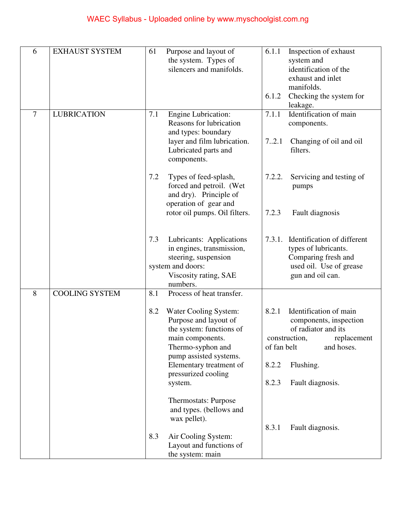# WAEC Syllabus - Uploaded online by www.myschoolgist.com.ng

| 6      | <b>EXHAUST SYSTEM</b> | 61<br>Purpose and layout of<br>the system. Types of<br>silencers and manifolds.                                                                                                                                                                       | 6.1.1<br>Inspection of exhaust<br>system and<br>identification of the<br>exhaust and inlet<br>manifolds.<br>Checking the system for<br>6.1.2<br>leakage.                                         |
|--------|-----------------------|-------------------------------------------------------------------------------------------------------------------------------------------------------------------------------------------------------------------------------------------------------|--------------------------------------------------------------------------------------------------------------------------------------------------------------------------------------------------|
| $\tau$ | <b>LUBRICATION</b>    | <b>Engine Lubrication:</b><br>7.1<br>Reasons for lubrication<br>and types: boundary<br>layer and film lubrication.<br>Lubricated parts and<br>components.                                                                                             | Identification of main<br>7.1.1<br>components.<br>7.2.1<br>Changing of oil and oil<br>filters.                                                                                                   |
|        |                       | 7.2<br>Types of feed-splash,<br>forced and petroil. (Wet<br>and dry). Principle of<br>operation of gear and<br>rotor oil pumps. Oil filters.                                                                                                          | 7.2.2.<br>Servicing and testing of<br>pumps<br>7.2.3<br>Fault diagnosis                                                                                                                          |
|        |                       | Lubricants: Applications<br>7.3<br>in engines, transmission,<br>steering, suspension<br>system and doors:<br>Viscosity rating, SAE<br>numbers.                                                                                                        | 7.3.1. Identification of different<br>types of lubricants.<br>Comparing fresh and<br>used oil. Use of grease<br>gun and oil can.                                                                 |
| 8      | <b>COOLING SYSTEM</b> | Process of heat transfer.<br>8.1<br>8.2<br>Water Cooling System:<br>Purpose and layout of<br>the system: functions of<br>main components.<br>Thermo-syphon and<br>pump assisted systems.<br>Elementary treatment of<br>pressurized cooling<br>system. | Identification of main<br>8.2.1<br>components, inspection<br>of radiator and its<br>construction,<br>replacement<br>of fan belt<br>and hoses.<br>8.2.2<br>Flushing.<br>8.2.3<br>Fault diagnosis. |
|        |                       | <b>Thermostats: Purpose</b><br>and types. (bellows and<br>wax pellet).<br>8.3<br>Air Cooling System:<br>Layout and functions of<br>the system: main                                                                                                   | 8.3.1<br>Fault diagnosis.                                                                                                                                                                        |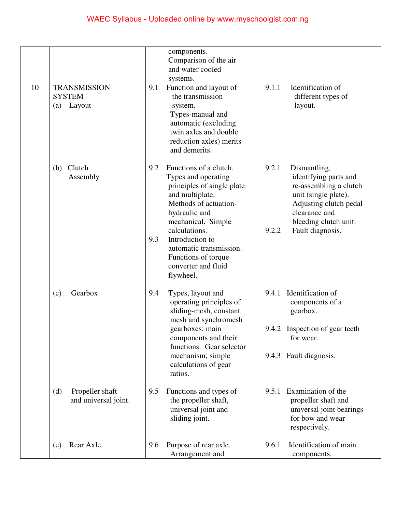|    |                                                       | components.<br>Comparison of the air<br>and water cooled<br>systems.                                                                                                                                                                                                                                   |                                                                                                                                                                                                   |
|----|-------------------------------------------------------|--------------------------------------------------------------------------------------------------------------------------------------------------------------------------------------------------------------------------------------------------------------------------------------------------------|---------------------------------------------------------------------------------------------------------------------------------------------------------------------------------------------------|
| 10 | <b>TRANSMISSION</b><br><b>SYSTEM</b><br>Layout<br>(a) | Function and layout of<br>9.1<br>the transmission<br>system.<br>Types-manual and<br>automatic (excluding<br>twin axles and double<br>reduction axles) merits<br>and demerits.                                                                                                                          | Identification of<br>9.1.1<br>different types of<br>layout.                                                                                                                                       |
|    | Clutch<br>(b)<br>Assembly                             | 9.2<br>Functions of a clutch.<br>Types and operating<br>principles of single plate<br>and multiplate.<br>Methods of actuation-<br>hydraulic and<br>mechanical. Simple<br>calculations.<br>9.3<br>Introduction to<br>automatic transmission.<br>Functions of torque<br>converter and fluid<br>flywheel. | 9.2.1<br>Dismantling,<br>identifying parts and<br>re-assembling a clutch<br>unit (single plate).<br>Adjusting clutch pedal<br>clearance and<br>bleeding clutch unit.<br>9.2.2<br>Fault diagnosis. |
|    | Gearbox<br>(c)                                        | 9.4<br>Types, layout and<br>operating principles of<br>sliding-mesh, constant<br>mesh and synchromesh<br>gearboxes; main<br>components and their<br>functions. Gear selector<br>mechanism; simple<br>calculations of gear<br>ratios.                                                                   | 9.4.1 Identification of<br>components of a<br>gearbox.<br>9.4.2 Inspection of gear teeth<br>for wear.<br>9.4.3 Fault diagnosis.                                                                   |
|    | Propeller shaft<br>(d)<br>and universal joint.        | 9.5<br>Functions and types of<br>the propeller shaft,<br>universal joint and<br>sliding joint.                                                                                                                                                                                                         | Examination of the<br>9.5.1<br>propeller shaft and<br>universal joint bearings<br>for bow and wear<br>respectively.                                                                               |
|    | Rear Axle<br>(e)                                      | Purpose of rear axle.<br>9.6<br>Arrangement and                                                                                                                                                                                                                                                        | Identification of main<br>9.6.1<br>components.                                                                                                                                                    |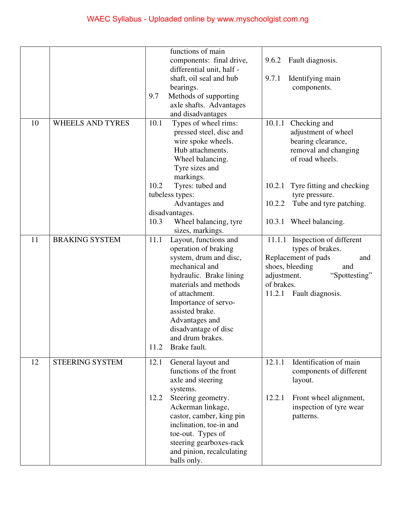|    |                         | functions of main                                    |                                   |
|----|-------------------------|------------------------------------------------------|-----------------------------------|
|    |                         | components: final drive,                             | 9.6.2<br>Fault diagnosis.         |
|    |                         | differential unit, half -                            |                                   |
|    |                         | shaft, oil seal and hub                              | Identifying main<br>9.7.1         |
|    |                         | bearings.                                            | components.                       |
|    |                         | Methods of supporting<br>9.7                         |                                   |
|    |                         | axle shafts. Advantages                              |                                   |
|    |                         | and disadvantages                                    |                                   |
| 10 | <b>WHEELS AND TYRES</b> | 10.1<br>Types of wheel rims:                         | 10.1.1<br>Checking and            |
|    |                         | pressed steel, disc and                              | adjustment of wheel               |
|    |                         | wire spoke wheels.                                   | bearing clearance,                |
|    |                         | Hub attachments.                                     |                                   |
|    |                         |                                                      | removal and changing              |
|    |                         | Wheel balancing.                                     | of road wheels.                   |
|    |                         | Tyre sizes and                                       |                                   |
|    |                         | markings.                                            |                                   |
|    |                         | 10.2<br>Tyres: tubed and                             | 10.2.1 Tyre fitting and checking  |
|    |                         | tubeless types:                                      | tyre pressure.                    |
|    |                         | Advantages and                                       | 10.2.2<br>Tube and tyre patching. |
|    |                         | disadvantages.                                       |                                   |
|    |                         | 10.3<br>Wheel balancing, tyre                        | 10.3.1 Wheel balancing.           |
|    |                         | sizes, markings.                                     |                                   |
| 11 | <b>BRAKING SYSTEM</b>   | 11.1<br>Layout, functions and                        | 11.1.1 Inspection of different    |
|    |                         | operation of braking                                 | types of brakes.                  |
|    |                         | system, drum and disc,                               | Replacement of pads<br>and        |
|    |                         | mechanical and                                       | shoes, bleeding<br>and            |
|    |                         | hydraulic. Brake lining                              | adjustment.<br>"Spottesting"      |
|    |                         | materials and methods                                | of brakes.                        |
|    |                         | of attachment.                                       | 11.2.1 Fault diagnosis.           |
|    |                         | Importance of servo-                                 |                                   |
|    |                         | assisted brake.                                      |                                   |
|    |                         | Advantages and                                       |                                   |
|    |                         | disadvantage of disc                                 |                                   |
|    |                         |                                                      |                                   |
|    |                         | and drum brakes.                                     |                                   |
|    |                         | Brake fault.<br>11.2                                 |                                   |
|    |                         |                                                      |                                   |
| 12 | <b>STEERING SYSTEM</b>  | General layout and<br>12.1                           | Identification of main<br>12.1.1  |
|    |                         | functions of the front                               | components of different           |
|    |                         | axle and steering                                    | layout.                           |
|    |                         | systems.                                             |                                   |
|    |                         | Steering geometry.<br>12.2                           | 12.2.1<br>Front wheel alignment,  |
|    |                         | Ackerman linkage,                                    | inspection of tyre wear           |
|    |                         |                                                      | patterns.                         |
|    |                         | castor, camber, king pin<br>inclination, toe-in and  |                                   |
|    |                         |                                                      |                                   |
|    |                         | toe-out. Types of                                    |                                   |
|    |                         | steering gearboxes-rack<br>and pinion, recalculating |                                   |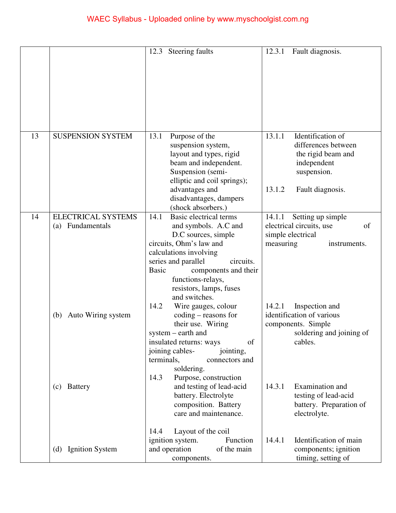|    |                           | Steering faults<br>12.3                                                                                                                                                                                                                          | Fault diagnosis.<br>12.3.1                                                                                                           |
|----|---------------------------|--------------------------------------------------------------------------------------------------------------------------------------------------------------------------------------------------------------------------------------------------|--------------------------------------------------------------------------------------------------------------------------------------|
|    |                           |                                                                                                                                                                                                                                                  |                                                                                                                                      |
| 13 | <b>SUSPENSION SYSTEM</b>  | 13.1<br>Purpose of the<br>suspension system,<br>layout and types, rigid<br>beam and independent.<br>Suspension (semi-<br>elliptic and coil springs);<br>advantages and<br>disadvantages, dampers<br>(shock absorbers.)                           | 13.1.1<br>Identification of<br>differences between<br>the rigid beam and<br>independent<br>suspension.<br>13.1.2<br>Fault diagnosis. |
| 14 | <b>ELECTRICAL SYSTEMS</b> | Basic electrical terms<br>14.1                                                                                                                                                                                                                   | 14.1.1<br>Setting up simple                                                                                                          |
|    | (a) Fundamentals          | and symbols. A.C and<br>D.C sources, simple<br>circuits, Ohm's law and<br>calculations involving<br>series and parallel<br>circuits.<br><b>Basic</b><br>components and their<br>functions-relays,<br>resistors, lamps, fuses<br>and switches.    | electrical circuits, use<br>of<br>simple electrical<br>measuring<br>instruments.                                                     |
|    | (b) Auto Wiring system    | 14.2<br>Wire gauges, colour<br>$coding - reasons for$<br>their use. Wiring<br>system – earth and<br>of<br>insulated returns: ways<br>joining cables-<br>jointing,<br>terminals,<br>connectors and<br>soldering.<br>Purpose, construction<br>14.3 | 14.2.1<br>Inspection and<br>identification of various<br>components. Simple<br>soldering and joining of<br>cables.                   |
|    | (c) Battery               | and testing of lead-acid<br>battery. Electrolyte<br>composition. Battery<br>care and maintenance.<br>14.4<br>Layout of the coil                                                                                                                  | 14.3.1<br>Examination and<br>testing of lead-acid<br>battery. Preparation of<br>electrolyte.                                         |
|    | (d) Ignition System       | ignition system.<br>Function<br>and operation<br>of the main<br>components.                                                                                                                                                                      | Identification of main<br>14.4.1<br>components; ignition<br>timing, setting of                                                       |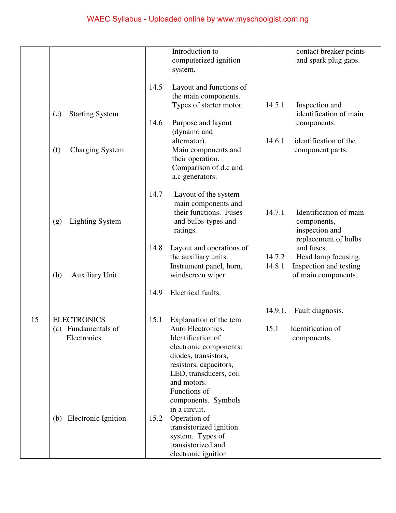|    |                               |      | Introduction to<br>computerized ignition    |         | contact breaker points<br>and spark plug gaps. |
|----|-------------------------------|------|---------------------------------------------|---------|------------------------------------------------|
|    |                               |      | system.                                     |         |                                                |
|    |                               |      |                                             |         |                                                |
|    |                               | 14.5 | Layout and functions of                     |         |                                                |
|    |                               |      | the main components.                        |         |                                                |
|    |                               |      | Types of starter motor.                     | 14.5.1  | Inspection and                                 |
|    | <b>Starting System</b><br>(e) | 14.6 | Purpose and layout                          |         | identification of main<br>components.          |
|    |                               |      | (dynamo and                                 |         |                                                |
|    |                               |      | alternator).                                | 14.6.1  | identification of the                          |
|    | (f)<br><b>Charging System</b> |      | Main components and                         |         | component parts.                               |
|    |                               |      | their operation.                            |         |                                                |
|    |                               |      | Comparison of d.c and                       |         |                                                |
|    |                               |      | a.c generators.                             |         |                                                |
|    |                               | 14.7 |                                             |         |                                                |
|    |                               |      | Layout of the system<br>main components and |         |                                                |
|    |                               |      | their functions. Fuses                      | 14.7.1  | Identification of main                         |
|    | <b>Lighting System</b><br>(g) |      | and bulbs-types and                         |         | components,                                    |
|    |                               |      | ratings.                                    |         | inspection and                                 |
|    |                               |      |                                             |         | replacement of bulbs                           |
|    |                               | 14.8 | Layout and operations of                    |         | and fuses.                                     |
|    |                               |      | the auxiliary units.                        | 14.7.2  | Head lamp focusing.                            |
|    |                               |      | Instrument panel, horn,                     | 14.8.1  | Inspection and testing                         |
|    | (h)<br><b>Auxiliary Unit</b>  |      | windscreen wiper.                           |         | of main components.                            |
|    |                               | 14.9 | Electrical faults.                          |         |                                                |
|    |                               |      |                                             |         |                                                |
|    |                               |      |                                             | 14.9.1. | Fault diagnosis.                               |
| 15 | <b>ELECTRONICS</b>            | 15.1 | Explanation of the tem                      |         |                                                |
|    | (a) Fundamentals of           |      | Auto Electronics.                           | 15.1    | Identification of                              |
|    | Electronics.                  |      | Identification of<br>electronic components: |         | components.                                    |
|    |                               |      | diodes, transistors,                        |         |                                                |
|    |                               |      | resistors, capacitors,                      |         |                                                |
|    |                               |      | LED, transducers, coil                      |         |                                                |
|    |                               |      | and motors.                                 |         |                                                |
|    |                               |      | Functions of                                |         |                                                |
|    |                               |      | components. Symbols                         |         |                                                |
|    |                               |      | in a circuit.                               |         |                                                |
|    | (b) Electronic Ignition       | 15.2 | Operation of<br>transistorized ignition     |         |                                                |
|    |                               |      | system. Types of                            |         |                                                |
|    |                               |      | transistorized and                          |         |                                                |
|    |                               |      | electronic ignition                         |         |                                                |